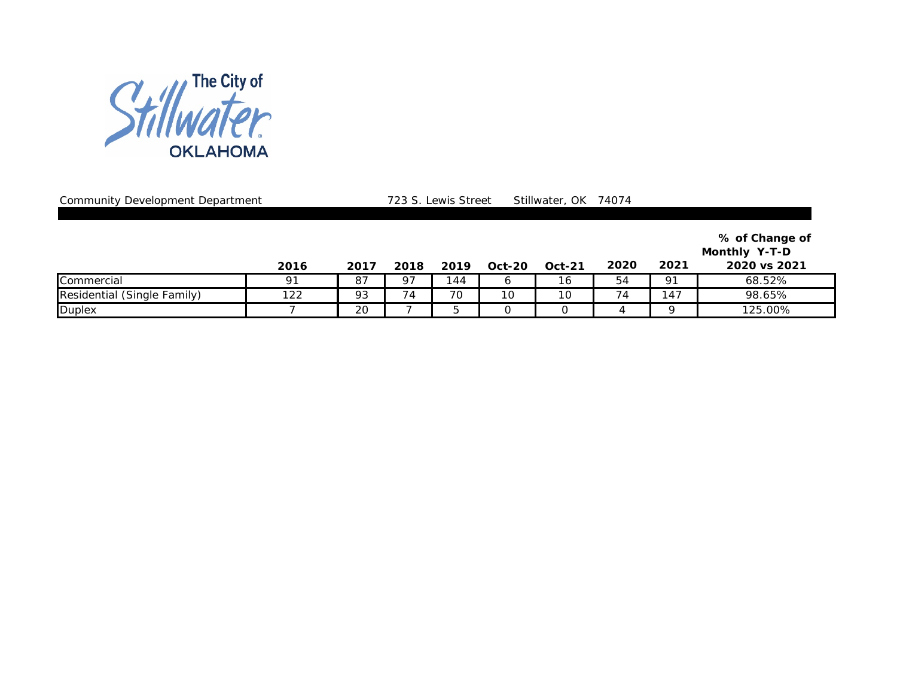

Community Development Department 2008 723 S. Lewis Street Stillwater, OK 74074

|                             | 2016 | 2017 | 2018 | 2019 | <b>Oct-20</b> | <b>Oct-21</b> | 2020 | 2021 | % of Change of<br>Monthly Y-T-D<br>2020 vs 2021 |
|-----------------------------|------|------|------|------|---------------|---------------|------|------|-------------------------------------------------|
| Commercial                  | 91   | 87   | 97   | 44   |               | 16            | 54   | 91   | 68.52%                                          |
| Residential (Single Family) | 122  | 93   | 74   | 70   | 10            | 10            | 74   | 147  | 98.65%                                          |
| <b>Duplex</b>               |      | 20   |      |      |               |               |      |      | 125.00%                                         |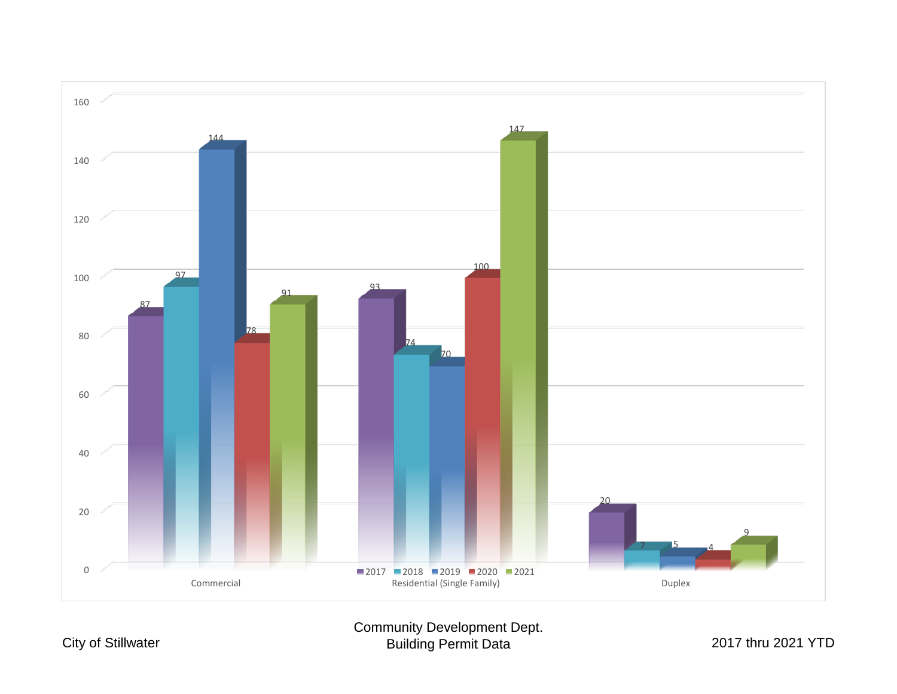

## Community Development Dept. Building Permit Data 2017 thru 2021 YTD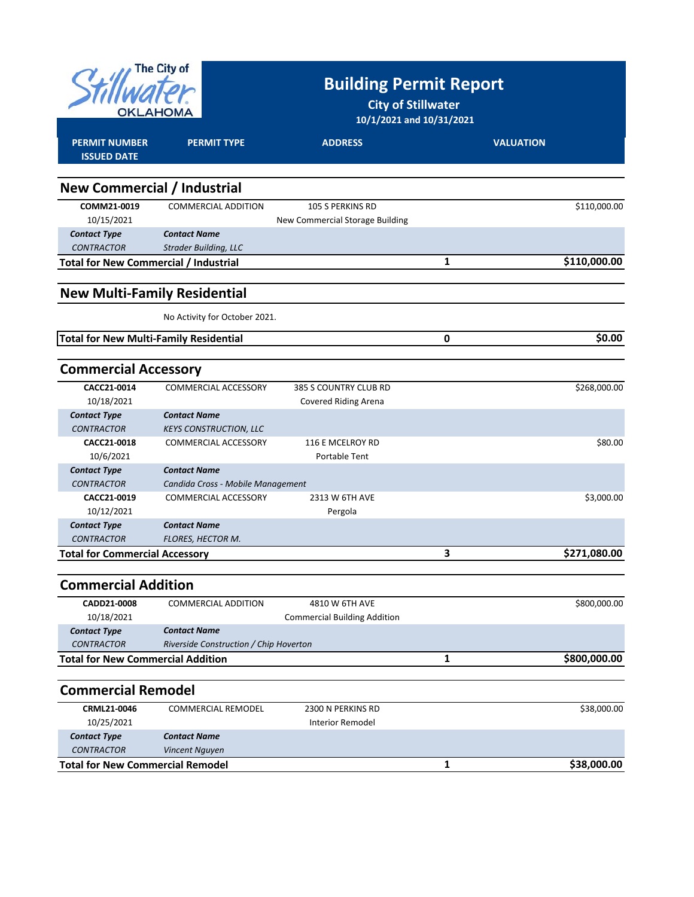| The City of<br>OKLAHOMA                       |                                        | <b>Building Permit Report</b><br><b>City of Stillwater</b><br>10/1/2021 and 10/31/2021 |   |                  |  |
|-----------------------------------------------|----------------------------------------|----------------------------------------------------------------------------------------|---|------------------|--|
| <b>PERMIT NUMBER</b><br><b>ISSUED DATE</b>    | <b>PERMIT TYPE</b>                     | <b>ADDRESS</b>                                                                         |   | <b>VALUATION</b> |  |
|                                               |                                        |                                                                                        |   |                  |  |
| <b>New Commercial / Industrial</b>            |                                        |                                                                                        |   |                  |  |
| COMM21-0019                                   | <b>COMMERCIAL ADDITION</b>             | 105 S PERKINS RD                                                                       |   | \$110,000.00     |  |
| 10/15/2021                                    |                                        | New Commercial Storage Building                                                        |   |                  |  |
| <b>Contact Type</b>                           | <b>Contact Name</b>                    |                                                                                        |   |                  |  |
| <b>CONTRACTOR</b>                             | <b>Strader Building, LLC</b>           |                                                                                        |   |                  |  |
| <b>Total for New Commercial / Industrial</b>  |                                        |                                                                                        | 1 | \$110,000.00     |  |
| <b>New Multi-Family Residential</b>           |                                        |                                                                                        |   |                  |  |
|                                               |                                        |                                                                                        |   |                  |  |
|                                               | No Activity for October 2021.          |                                                                                        |   |                  |  |
| <b>Total for New Multi-Family Residential</b> |                                        |                                                                                        | 0 | \$0.00           |  |
| <b>Commercial Accessory</b>                   |                                        |                                                                                        |   |                  |  |
| CACC21-0014                                   | <b>COMMERCIAL ACCESSORY</b>            | 385 S COUNTRY CLUB RD                                                                  |   | \$268,000.00     |  |
| 10/18/2021                                    |                                        | Covered Riding Arena                                                                   |   |                  |  |
| <b>Contact Type</b>                           | <b>Contact Name</b>                    |                                                                                        |   |                  |  |
| <b>CONTRACTOR</b>                             | <b>KEYS CONSTRUCTION, LLC</b>          |                                                                                        |   |                  |  |
| CACC21-0018                                   | COMMERCIAL ACCESSORY                   | 116 E MCELROY RD                                                                       |   | \$80.00          |  |
| 10/6/2021                                     |                                        | Portable Tent                                                                          |   |                  |  |
| <b>Contact Type</b>                           | <b>Contact Name</b>                    |                                                                                        |   |                  |  |
| <b>CONTRACTOR</b>                             | Candida Cross - Mobile Management      |                                                                                        |   |                  |  |
| CACC21-0019                                   | COMMERCIAL ACCESSORY                   | 2313 W 6TH AVE                                                                         |   | \$3,000.00       |  |
| 10/12/2021<br><b>Contact Type</b>             | <b>Contact Name</b>                    | Pergola                                                                                |   |                  |  |
| <b>CONTRACTOR</b>                             | <b>FLORES, HECTOR M.</b>               |                                                                                        |   |                  |  |
| <b>Total for Commercial Accessory</b>         |                                        |                                                                                        | 3 | \$271,080.00     |  |
|                                               |                                        |                                                                                        |   |                  |  |
| <b>Commercial Addition</b>                    |                                        |                                                                                        |   |                  |  |
| CADD21-0008                                   | COMMERCIAL ADDITION                    | 4810 W 6TH AVE                                                                         |   | \$800,000.00     |  |
| 10/18/2021                                    |                                        | <b>Commercial Building Addition</b>                                                    |   |                  |  |
| <b>Contact Type</b>                           | <b>Contact Name</b>                    |                                                                                        |   |                  |  |
| <b>CONTRACTOR</b>                             | Riverside Construction / Chip Hoverton |                                                                                        |   |                  |  |
| <b>Total for New Commercial Addition</b>      |                                        |                                                                                        | 1 | \$800,000.00     |  |
| <b>Commercial Remodel</b>                     |                                        |                                                                                        |   |                  |  |
| CRML21-0046                                   | <b>COMMERCIAL REMODEL</b>              | 2300 N PERKINS RD                                                                      |   | \$38,000.00      |  |
| 10/25/2021                                    |                                        | <b>Interior Remodel</b>                                                                |   |                  |  |
| <b>Contact Type</b>                           | <b>Contact Name</b>                    |                                                                                        |   |                  |  |
| <b>CONTRACTOR</b>                             | Vincent Nguyen                         |                                                                                        |   |                  |  |
| <b>Total for New Commercial Remodel</b>       |                                        |                                                                                        | 1 | \$38,000.00      |  |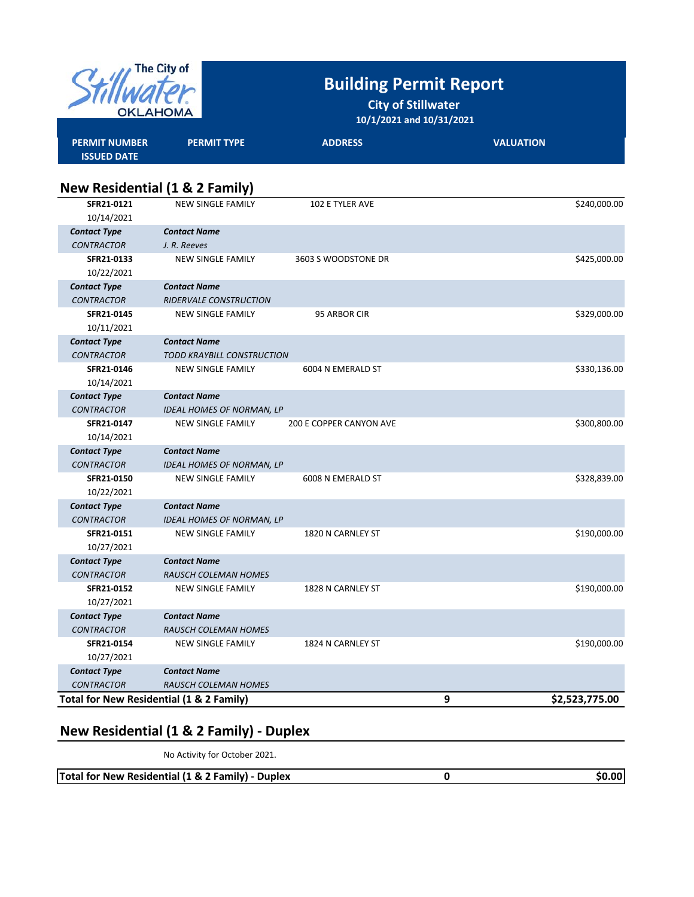| <b>The City of</b><br>OKLAHOM            |                                           | <b>Building Permit Report</b><br><b>City of Stillwater</b><br>10/1/2021 and 10/31/2021 |                  |                |  |  |
|------------------------------------------|-------------------------------------------|----------------------------------------------------------------------------------------|------------------|----------------|--|--|
| <b>PERMIT NUMBER</b>                     | <b>PERMIT TYPE</b>                        | <b>ADDRESS</b>                                                                         | <b>VALUATION</b> |                |  |  |
| <b>ISSUED DATE</b>                       | <b>New Residential (1 &amp; 2 Family)</b> |                                                                                        |                  |                |  |  |
| SFR21-0121<br>10/14/2021                 | <b>NEW SINGLE FAMILY</b>                  | 102 E TYLER AVE                                                                        |                  | \$240,000.00   |  |  |
| <b>Contact Type</b>                      | <b>Contact Name</b>                       |                                                                                        |                  |                |  |  |
| <b>CONTRACTOR</b>                        | J. R. Reeves                              |                                                                                        |                  |                |  |  |
| SFR21-0133                               | <b>NEW SINGLE FAMILY</b>                  | 3603 S WOODSTONE DR                                                                    |                  | \$425,000.00   |  |  |
| 10/22/2021                               |                                           |                                                                                        |                  |                |  |  |
| <b>Contact Type</b>                      | <b>Contact Name</b>                       |                                                                                        |                  |                |  |  |
| <b>CONTRACTOR</b>                        | <b>RIDERVALE CONSTRUCTION</b>             |                                                                                        |                  |                |  |  |
| SFR21-0145                               | <b>NEW SINGLE FAMILY</b>                  | 95 ARBOR CIR                                                                           |                  | \$329,000.00   |  |  |
| 10/11/2021                               |                                           |                                                                                        |                  |                |  |  |
| <b>Contact Type</b>                      | <b>Contact Name</b>                       |                                                                                        |                  |                |  |  |
| <b>CONTRACTOR</b>                        | TODD KRAYBILL CONSTRUCTION                |                                                                                        |                  |                |  |  |
| SFR21-0146                               | <b>NEW SINGLE FAMILY</b>                  | 6004 N EMERALD ST                                                                      |                  | \$330,136.00   |  |  |
| 10/14/2021                               |                                           |                                                                                        |                  |                |  |  |
| <b>Contact Type</b>                      | <b>Contact Name</b>                       |                                                                                        |                  |                |  |  |
| <b>CONTRACTOR</b>                        | <b>IDEAL HOMES OF NORMAN, LP</b>          |                                                                                        |                  |                |  |  |
| SFR21-0147                               | <b>NEW SINGLE FAMILY</b>                  | <b>200 E COPPER CANYON AVE</b>                                                         |                  | \$300,800.00   |  |  |
| 10/14/2021                               |                                           |                                                                                        |                  |                |  |  |
| <b>Contact Type</b>                      | <b>Contact Name</b>                       |                                                                                        |                  |                |  |  |
| <b>CONTRACTOR</b>                        | <b>IDEAL HOMES OF NORMAN, LP</b>          |                                                                                        |                  |                |  |  |
| SFR21-0150                               | NEW SINGLE FAMILY                         | 6008 N EMERALD ST                                                                      |                  | \$328,839.00   |  |  |
| 10/22/2021                               |                                           |                                                                                        |                  |                |  |  |
| <b>Contact Type</b>                      | <b>Contact Name</b>                       |                                                                                        |                  |                |  |  |
| <b>CONTRACTOR</b>                        | <b>IDEAL HOMES OF NORMAN, LP</b>          |                                                                                        |                  |                |  |  |
| SFR21-0151                               | <b>NEW SINGLE FAMILY</b>                  | 1820 N CARNLEY ST                                                                      |                  | \$190,000.00   |  |  |
| 10/27/2021                               |                                           |                                                                                        |                  |                |  |  |
| <b>Contact Type</b>                      | <b>Contact Name</b>                       |                                                                                        |                  |                |  |  |
| <b>CONTRACTOR</b>                        | <b>RAUSCH COLEMAN HOMES</b>               |                                                                                        |                  |                |  |  |
| SFR21-0152                               | <b>NEW SINGLE FAMILY</b>                  | 1828 N CARNLEY ST                                                                      |                  | \$190,000.00   |  |  |
| 10/27/2021                               |                                           |                                                                                        |                  |                |  |  |
| <b>Contact Type</b>                      | <b>Contact Name</b>                       |                                                                                        |                  |                |  |  |
| <b>CONTRACTOR</b>                        | <b>RAUSCH COLEMAN HOMES</b>               |                                                                                        |                  |                |  |  |
| SFR21-0154                               | NEW SINGLE FAMILY                         | 1824 N CARNLEY ST                                                                      |                  | \$190,000.00   |  |  |
| 10/27/2021                               |                                           |                                                                                        |                  |                |  |  |
| <b>Contact Type</b>                      | <b>Contact Name</b>                       |                                                                                        |                  |                |  |  |
| <b>CONTRACTOR</b>                        | <b>RAUSCH COLEMAN HOMES</b>               |                                                                                        |                  |                |  |  |
| Total for New Residential (1 & 2 Family) |                                           |                                                                                        | 9                | \$2,523,775.00 |  |  |

## **New Residential (1 & 2 Family) ‐ Duplex**

No Activity for October 2021.

| Total for New Residential (1 & 2 Family) - Duplex | \$0.00l |
|---------------------------------------------------|---------|
|                                                   |         |